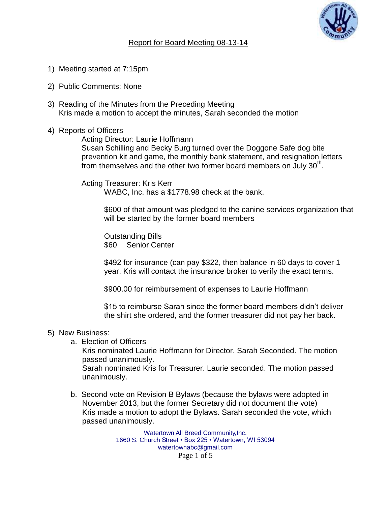

## Report for Board Meeting 08-13-14

- 1) Meeting started at 7:15pm
- 2) Public Comments: None
- 3) Reading of the Minutes from the Preceding Meeting Kris made a motion to accept the minutes, Sarah seconded the motion
- 4) Reports of Officers

Acting Director: Laurie Hoffmann

Susan Schilling and Becky Burg turned over the Doggone Safe dog bite prevention kit and game, the monthly bank statement, and resignation letters from themselves and the other two former board members on July  $30<sup>th</sup>$ .

Acting Treasurer: Kris Kerr WABC, Inc. has a \$1778.98 check at the bank.

> \$600 of that amount was pledged to the canine services organization that will be started by the former board members

Outstanding Bills \$60 Senior Center

\$492 for insurance (can pay \$322, then balance in 60 days to cover 1 year. Kris will contact the insurance broker to verify the exact terms.

\$900.00 for reimbursement of expenses to Laurie Hoffmann

\$15 to reimburse Sarah since the former board members didn't deliver the shirt she ordered, and the former treasurer did not pay her back.

## 5) New Business:

a. Election of Officers

Kris nominated Laurie Hoffmann for Director. Sarah Seconded. The motion passed unanimously.

Sarah nominated Kris for Treasurer. Laurie seconded. The motion passed unanimously.

b. Second vote on Revision B Bylaws (because the bylaws were adopted in November 2013, but the former Secretary did not document the vote) Kris made a motion to adopt the Bylaws. Sarah seconded the vote, which passed unanimously.

> Watertown All Breed Community,Inc. 1660 S. Church Street • Box 225 • Watertown, WI 53094 watertownabc@gmail.com Page 1 of 5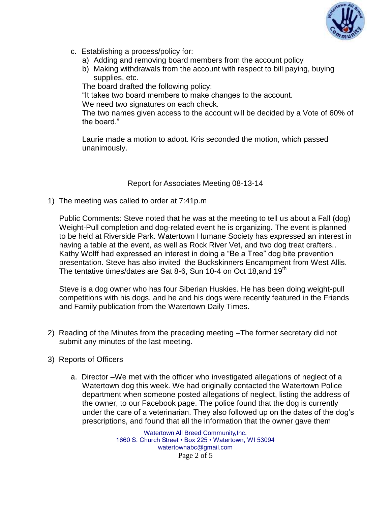

- c. Establishing a process/policy for:
	- a) Adding and removing board members from the account policy
	- b) Making withdrawals from the account with respect to bill paying, buying supplies, etc.

The board drafted the following policy:

"It takes two board members to make changes to the account.

We need two signatures on each check.

The two names given access to the account will be decided by a Vote of 60% of the board."

Laurie made a motion to adopt. Kris seconded the motion, which passed unanimously.

## Report for Associates Meeting 08-13-14

1) The meeting was called to order at 7:41p.m

Public Comments: Steve noted that he was at the meeting to tell us about a Fall (dog) Weight-Pull completion and dog-related event he is organizing. The event is planned to be held at Riverside Park. Watertown Humane Society has expressed an interest in having a table at the event, as well as Rock River Vet, and two dog treat crafters.. Kathy Wolff had expressed an interest in doing a "Be a Tree" dog bite prevention presentation. Steve has also invited the Buckskinners Encampment from West Allis. The tentative times/dates are Sat 8-6, Sun 10-4 on Oct 18, and  $19<sup>th</sup>$ 

Steve is a dog owner who has four Siberian Huskies. He has been doing weight-pull competitions with his dogs, and he and his dogs were recently featured in the Friends and Family publication from the Watertown Daily Times.

- 2) Reading of the Minutes from the preceding meeting –The former secretary did not submit any minutes of the last meeting.
- 3) Reports of Officers
	- a. Director –We met with the officer who investigated allegations of neglect of a Watertown dog this week. We had originally contacted the Watertown Police department when someone posted allegations of neglect, listing the address of the owner, to our Facebook page. The police found that the dog is currently under the care of a veterinarian. They also followed up on the dates of the dog's prescriptions, and found that all the information that the owner gave them

Watertown All Breed Community,Inc. 1660 S. Church Street • Box 225 • Watertown, WI 53094 watertownabc@gmail.com Page 2 of 5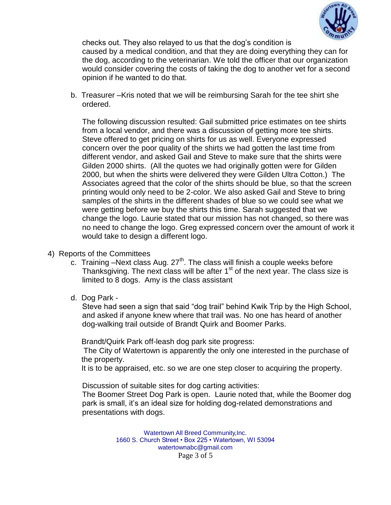

checks out. They also relayed to us that the dog's condition is caused by a medical condition, and that they are doing everything they can for the dog, according to the veterinarian. We told the officer that our organization would consider covering the costs of taking the dog to another vet for a second opinion if he wanted to do that.

b. Treasurer –Kris noted that we will be reimbursing Sarah for the tee shirt she ordered.

The following discussion resulted: Gail submitted price estimates on tee shirts from a local vendor, and there was a discussion of getting more tee shirts. Steve offered to get pricing on shirts for us as well. Everyone expressed concern over the poor quality of the shirts we had gotten the last time from different vendor, and asked Gail and Steve to make sure that the shirts were Gilden 2000 shirts. (All the quotes we had originally gotten were for Gilden 2000, but when the shirts were delivered they were Gilden Ultra Cotton.) The Associates agreed that the color of the shirts should be blue, so that the screen printing would only need to be 2-color. We also asked Gail and Steve to bring samples of the shirts in the different shades of blue so we could see what we were getting before we buy the shirts this time. Sarah suggested that we change the logo. Laurie stated that our mission has not changed, so there was no need to change the logo. Greg expressed concern over the amount of work it would take to design a different logo.

- 4) Reports of the Committees
	- c. Training –Next class Aug.  $27<sup>th</sup>$ . The class will finish a couple weeks before Thanksgiving. The next class will be after  $1<sup>st</sup>$  of the next year. The class size is limited to 8 dogs. Amy is the class assistant
	- d. Dog Park -

Steve had seen a sign that said "dog trail" behind Kwik Trip by the High School, and asked if anyone knew where that trail was. No one has heard of another dog-walking trail outside of Brandt Quirk and Boomer Parks.

Brandt/Quirk Park off-leash dog park site progress:

The City of Watertown is apparently the only one interested in the purchase of the property.

It is to be appraised, etc. so we are one step closer to acquiring the property.

Discussion of suitable sites for dog carting activities:

The Boomer Street Dog Park is open. Laurie noted that, while the Boomer dog park is small, it's an ideal size for holding dog-related demonstrations and presentations with dogs.

> Watertown All Breed Community,Inc. 1660 S. Church Street • Box 225 • Watertown, WI 53094 watertownabc@gmail.com Page 3 of 5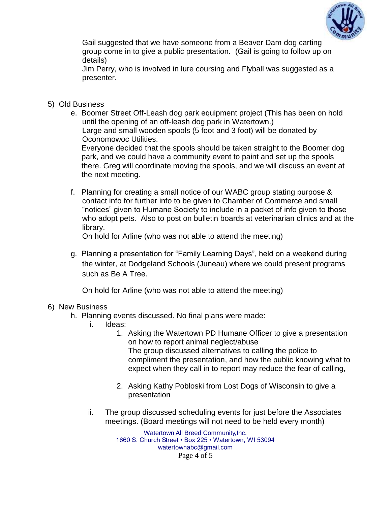

Gail suggested that we have someone from a Beaver Dam dog carting group come in to give a public presentation. (Gail is going to follow up on details)

Jim Perry, who is involved in lure coursing and Flyball was suggested as a presenter.

- 5) Old Business
	- e. Boomer Street Off-Leash dog park equipment project (This has been on hold until the opening of an off-leash dog park in Watertown.) Large and small wooden spools (5 foot and 3 foot) will be donated by Oconomowoc Utilities.

Everyone decided that the spools should be taken straight to the Boomer dog park, and we could have a community event to paint and set up the spools there. Greg will coordinate moving the spools, and we will discuss an event at the next meeting.

f. Planning for creating a small notice of our WABC group stating purpose & contact info for further info to be given to Chamber of Commerce and small "notices" given to Humane Society to include in a packet of info given to those who adopt pets. Also to post on bulletin boards at veterinarian clinics and at the library.

On hold for Arline (who was not able to attend the meeting)

g. Planning a presentation for "Family Learning Days", held on a weekend during the winter, at Dodgeland Schools (Juneau) where we could present programs such as Be A Tree.

On hold for Arline (who was not able to attend the meeting)

## 6) New Business

- h. Planning events discussed. No final plans were made:
	- i. Ideas:
		- 1. Asking the Watertown PD Humane Officer to give a presentation on how to report animal neglect/abuse The group discussed alternatives to calling the police to compliment the presentation, and how the public knowing what to expect when they call in to report may reduce the fear of calling,
		- 2. Asking Kathy Pobloski from Lost Dogs of Wisconsin to give a presentation
	- ii. The group discussed scheduling events for just before the Associates meetings. (Board meetings will not need to be held every month)

Watertown All Breed Community,Inc. 1660 S. Church Street • Box 225 • Watertown, WI 53094 watertownabc@gmail.com Page 4 of 5